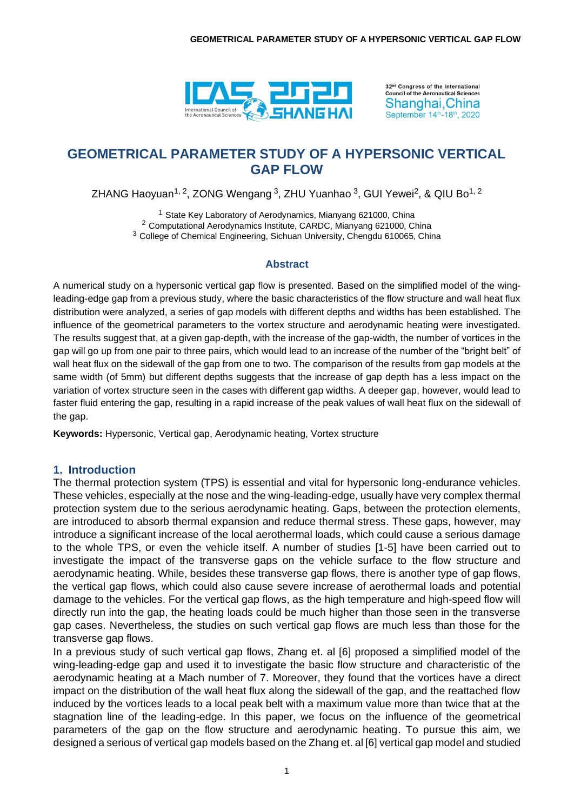

32<sup>nd</sup> Congress of the International **Council of the Aeronautical Sciences** Shanghai, China September 14th-18th, 2020

# **GEOMETRICAL PARAMETER STUDY OF A HYPERSONIC VERTICAL GAP FLOW**

ZHANG Haoyuan<sup>1, 2</sup>, ZONG Wengang <sup>3</sup>, ZHU Yuanhao <sup>3</sup>, GUI Yewei<sup>2</sup>, & QIU Bo<sup>1, 2</sup>

<sup>1</sup> State Key Laboratory of Aerodynamics, Mianyang 621000, China <sup>2</sup> Computational Aerodynamics Institute, CARDC, Mianyang 621000, China <sup>3</sup> College of Chemical Engineering, Sichuan University, Chengdu 610065, China

#### **Abstract**

A numerical study on a hypersonic vertical gap flow is presented. Based on the simplified model of the wingleading-edge gap from a previous study, where the basic characteristics of the flow structure and wall heat flux distribution were analyzed, a series of gap models with different depths and widths has been established. The influence of the geometrical parameters to the vortex structure and aerodynamic heating were investigated. The results suggest that, at a given gap-depth, with the increase of the gap-width, the number of vortices in the gap will go up from one pair to three pairs, which would lead to an increase of the number of the "bright belt" of wall heat flux on the sidewall of the gap from one to two. The comparison of the results from gap models at the same width (of 5mm) but different depths suggests that the increase of gap depth has a less impact on the variation of vortex structure seen in the cases with different gap widths. A deeper gap, however, would lead to faster fluid entering the gap, resulting in a rapid increase of the peak values of wall heat flux on the sidewall of the gap.

**Keywords:** Hypersonic, Vertical gap, Aerodynamic heating, Vortex structure

#### **1. Introduction**

The thermal protection system (TPS) is essential and vital for hypersonic long-endurance vehicles. These vehicles, especially at the nose and the wing-leading-edge, usually have very complex thermal protection system due to the serious aerodynamic heating. Gaps, between the protection elements, are introduced to absorb thermal expansion and reduce thermal stress. These gaps, however, may introduce a significant increase of the local aerothermal loads, which could cause a serious damage to the whole TPS, or even the vehicle itself. A number of studies [1-5] have been carried out to investigate the impact of the transverse gaps on the vehicle surface to the flow structure and aerodynamic heating. While, besides these transverse gap flows, there is another type of gap flows, the vertical gap flows, which could also cause severe increase of aerothermal loads and potential damage to the vehicles. For the vertical gap flows, as the high temperature and high-speed flow will directly run into the gap, the heating loads could be much higher than those seen in the transverse gap cases. Nevertheless, the studies on such vertical gap flows are much less than those for the transverse gap flows.

In a previous study of such vertical gap flows, Zhang et. al [6] proposed a simplified model of the wing-leading-edge gap and used it to investigate the basic flow structure and characteristic of the aerodynamic heating at a Mach number of 7. Moreover, they found that the vortices have a direct impact on the distribution of the wall heat flux along the sidewall of the gap, and the reattached flow induced by the vortices leads to a local peak belt with a maximum value more than twice that at the stagnation line of the leading-edge. In this paper, we focus on the influence of the geometrical parameters of the gap on the flow structure and aerodynamic heating. To pursue this aim, we designed a serious of vertical gap models based on the Zhang et. al [6] vertical gap model and studied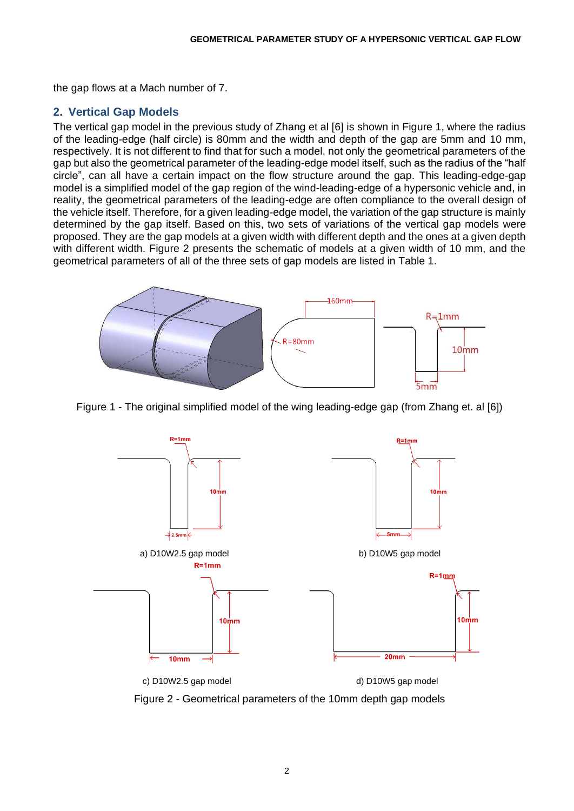the gap flows at a Mach number of 7.

### **2. Vertical Gap Models**

The vertical gap model in the previous study of Zhang et al [6] is shown in Figure 1, where the radius of the leading-edge (half circle) is 80mm and the width and depth of the gap are 5mm and 10 mm, respectively. It is not different to find that for such a model, not only the geometrical parameters of the gap but also the geometrical parameter of the leading-edge model itself, such as the radius of the "half circle", can all have a certain impact on the flow structure around the gap. This leading-edge-gap model is a simplified model of the gap region of the wind-leading-edge of a hypersonic vehicle and, in reality, the geometrical parameters of the leading-edge are often compliance to the overall design of the vehicle itself. Therefore, for a given leading-edge model, the variation of the gap structure is mainly determined by the gap itself. Based on this, two sets of variations of the vertical gap models were proposed. They are the gap models at a given width with different depth and the ones at a given depth with different width. Figure 2 presents the schematic of models at a given width of 10 mm, and the geometrical parameters of all of the three sets of gap models are listed in Table 1.



Figure 1 - The original simplified model of the wing leading-edge gap (from Zhang et. al [6])



Figure 2 - Geometrical parameters of the 10mm depth gap models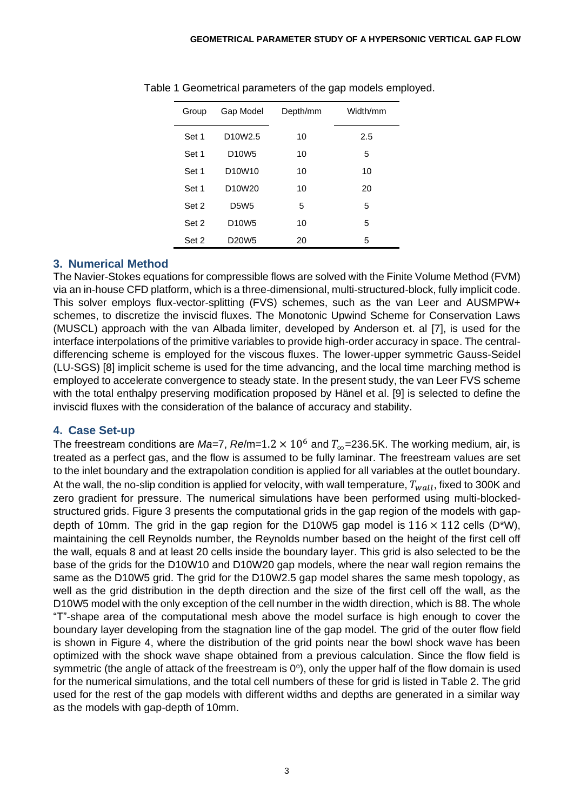| Group | Gap Model                        | Depth/mm | Width/mm |
|-------|----------------------------------|----------|----------|
| Set 1 | D <sub>10</sub> W <sub>2.5</sub> | 10       | 2.5      |
| Set 1 | D <sub>10</sub> W <sub>5</sub>   | 10       | 5        |
| Set 1 | D <sub>10</sub> W <sub>10</sub>  | 10       | 10       |
| Set 1 | D <sub>10</sub> W <sub>20</sub>  | 10       | 20       |
| Set 2 | <b>D5W5</b>                      | 5        | 5        |
| Set 2 | D <sub>10</sub> W <sub>5</sub>   | 10       | 5        |
| Set 2 | D <sub>20</sub> W <sub>5</sub>   | 20       | 5        |

Table 1 Geometrical parameters of the gap models employed.

### **3. Numerical Method**

The Navier-Stokes equations for compressible flows are solved with the Finite Volume Method (FVM) via an in-house CFD platform, which is a three-dimensional, multi-structured-block, fully implicit code. This solver employs flux-vector-splitting (FVS) schemes, such as the van Leer and AUSMPW+ schemes, to discretize the inviscid fluxes. The Monotonic Upwind Scheme for Conservation Laws (MUSCL) approach with the van Albada limiter, developed by Anderson et. al [7], is used for the interface interpolations of the primitive variables to provide high-order accuracy in space. The centraldifferencing scheme is employed for the viscous fluxes. The lower-upper symmetric Gauss-Seidel (LU-SGS) [8] implicit scheme is used for the time advancing, and the local time marching method is employed to accelerate convergence to steady state. In the present study, the van Leer FVS scheme with the total enthalpy preserving modification proposed by Hänel et al. [9] is selected to define the inviscid fluxes with the consideration of the balance of accuracy and stability.

### **4. Case Set-up**

The freestream conditions are *Ma*=7,  $Re/m=1.2 \times 10^6$  and  $T_{\infty}$ =236.5K. The working medium, air, is treated as a perfect gas, and the flow is assumed to be fully laminar. The freestream values are set to the inlet boundary and the extrapolation condition is applied for all variables at the outlet boundary. At the wall, the no-slip condition is applied for velocity, with wall temperature,  $T_{wall}$ , fixed to 300K and zero gradient for pressure. The numerical simulations have been performed using multi-blockedstructured grids. Figure 3 presents the computational grids in the gap region of the models with gapdepth of 10mm. The grid in the gap region for the D10W5 gap model is  $116 \times 112$  cells (D\*W), maintaining the cell Reynolds number, the Reynolds number based on the height of the first cell off the wall, equals 8 and at least 20 cells inside the boundary layer. This grid is also selected to be the base of the grids for the D10W10 and D10W20 gap models, where the near wall region remains the same as the D10W5 grid. The grid for the D10W2.5 gap model shares the same mesh topology, as well as the grid distribution in the depth direction and the size of the first cell off the wall, as the D10W5 model with the only exception of the cell number in the width direction, which is 88. The whole "T"-shape area of the computational mesh above the model surface is high enough to cover the boundary layer developing from the stagnation line of the gap model. The grid of the outer flow field is shown in Figure 4, where the distribution of the grid points near the bowl shock wave has been optimized with the shock wave shape obtained from a previous calculation. Since the flow field is symmetric (the angle of attack of the freestream is  $0^{\circ}$ ), only the upper half of the flow domain is used for the numerical simulations, and the total cell numbers of these for grid is listed in Table 2. The grid used for the rest of the gap models with different widths and depths are generated in a similar way as the models with gap-depth of 10mm.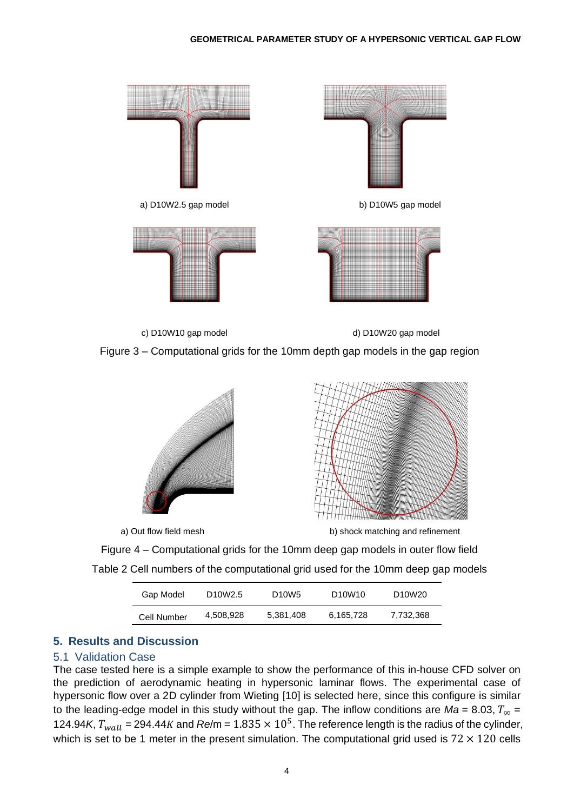

c) D10W10 gap model d) D10W20 gap model





a) Out flow field mesh b) shock matching and refinement

Figure 4 – Computational grids for the 10mm deep gap models in outer flow field Table 2 Cell numbers of the computational grid used for the 10mm deep gap models

| Gap Model   | D <sub>10</sub> W <sub>2.5</sub> | D <sub>10</sub> W <sub>5</sub> | D <sub>10</sub> W <sub>10</sub> | D <sub>10</sub> W <sub>20</sub> |
|-------------|----------------------------------|--------------------------------|---------------------------------|---------------------------------|
| Cell Number | 4,508,928                        | 5,381,408                      | 6,165,728                       | 7,732,368                       |

### **5. Results and Discussion**

#### 5.1 Validation Case

The case tested here is a simple example to show the performance of this in-house CFD solver on the prediction of aerodynamic heating in hypersonic laminar flows. The experimental case of hypersonic flow over a 2D cylinder from Wieting [10] is selected here, since this configure is similar to the leading-edge model in this study without the gap. The inflow conditions are  $Ma = 8.03$ ,  $T_{\infty} =$ 124.94*K*,  $T_{wall}$  = 294.44*K* and  $Re/m$  = 1.835  $\times$  10<sup>5</sup>. The reference length is the radius of the cylinder, which is set to be 1 meter in the present simulation. The computational grid used is  $72 \times 120$  cells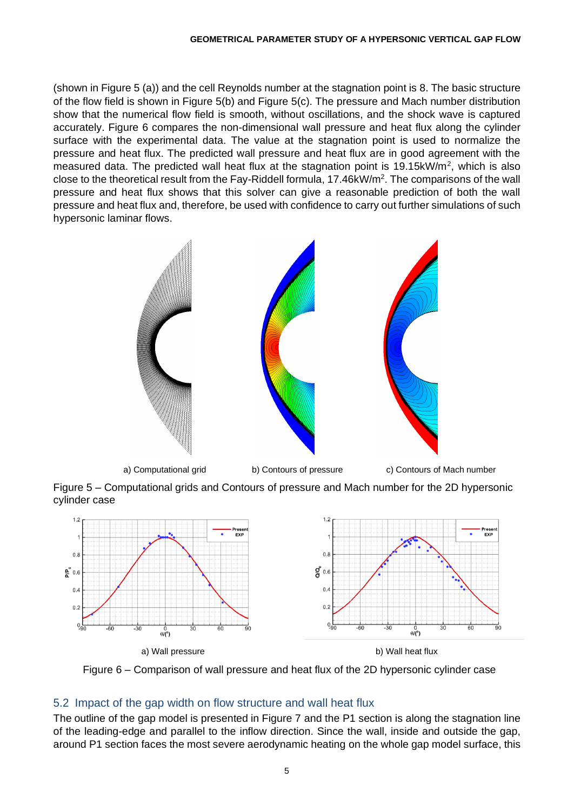(shown in Figure 5 (a)) and the cell Reynolds number at the stagnation point is 8. The basic structure of the flow field is shown in Figure 5(b) and Figure 5(c). The pressure and Mach number distribution show that the numerical flow field is smooth, without oscillations, and the shock wave is captured accurately. Figure 6 compares the non-dimensional wall pressure and heat flux along the cylinder surface with the experimental data. The value at the stagnation point is used to normalize the pressure and heat flux. The predicted wall pressure and heat flux are in good agreement with the measured data. The predicted wall heat flux at the stagnation point is 19.15 $k$ W/m<sup>2</sup>, which is also close to the theoretical result from the Fay-Riddell formula, 17.46kW/m<sup>2</sup>. The comparisons of the wall pressure and heat flux shows that this solver can give a reasonable prediction of both the wall pressure and heat flux and, therefore, be used with confidence to carry out further simulations of such hypersonic laminar flows.



Figure 5 – Computational grids and Contours of pressure and Mach number for the 2D hypersonic cylinder case





### 5.2 Impact of the gap width on flow structure and wall heat flux

The outline of the gap model is presented in Figure 7 and the P1 section is along the stagnation line of the leading-edge and parallel to the inflow direction. Since the wall, inside and outside the gap, around P1 section faces the most severe aerodynamic heating on the whole gap model surface, this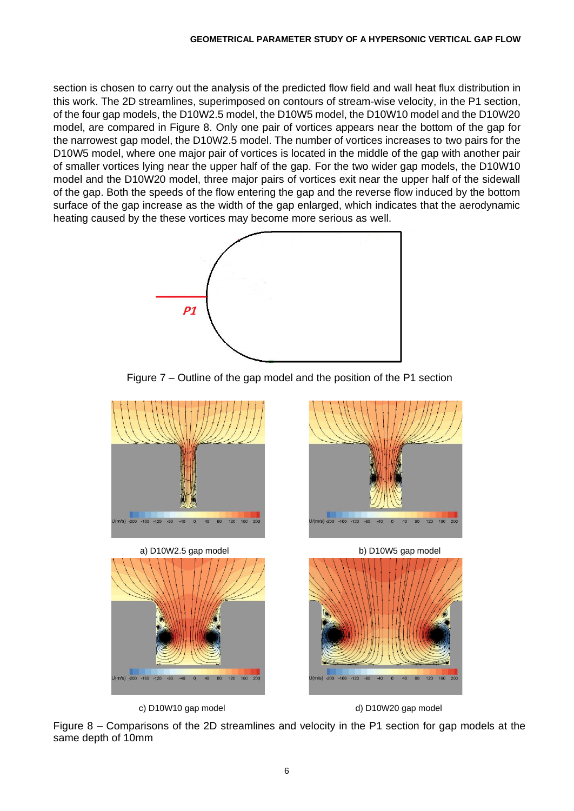section is chosen to carry out the analysis of the predicted flow field and wall heat flux distribution in this work. The 2D streamlines, superimposed on contours of stream-wise velocity, in the P1 section, of the four gap models, the D10W2.5 model, the D10W5 model, the D10W10 model and the D10W20 model, are compared in Figure 8. Only one pair of vortices appears near the bottom of the gap for the narrowest gap model, the D10W2.5 model. The number of vortices increases to two pairs for the D10W5 model, where one major pair of vortices is located in the middle of the gap with another pair of smaller vortices lying near the upper half of the gap. For the two wider gap models, the D10W10 model and the D10W20 model, three major pairs of vortices exit near the upper half of the sidewall of the gap. Both the speeds of the flow entering the gap and the reverse flow induced by the bottom surface of the gap increase as the width of the gap enlarged, which indicates that the aerodynamic heating caused by the these vortices may become more serious as well.









Figure 8 – Comparisons of the 2D streamlines and velocity in the P1 section for gap models at the same depth of 10mm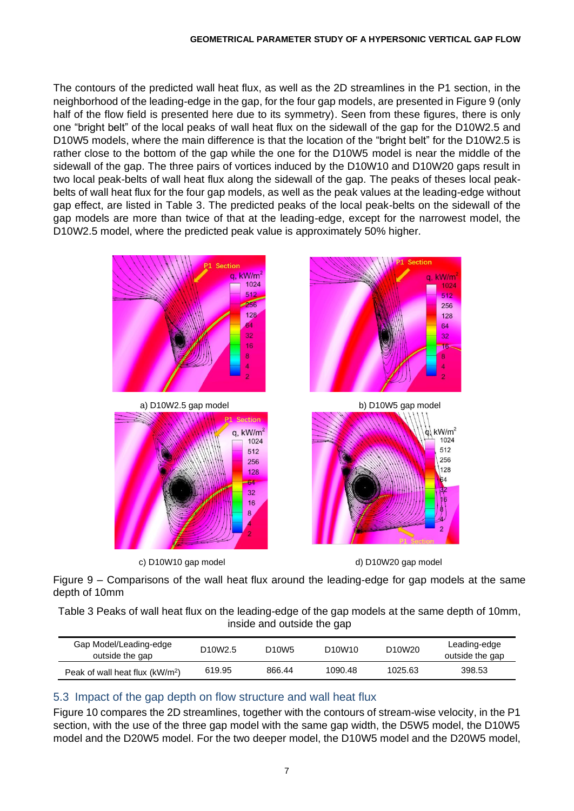The contours of the predicted wall heat flux, as well as the 2D streamlines in the P1 section, in the neighborhood of the leading-edge in the gap, for the four gap models, are presented in Figure 9 (only half of the flow field is presented here due to its symmetry). Seen from these figures, there is only one "bright belt" of the local peaks of wall heat flux on the sidewall of the gap for the D10W2.5 and D10W5 models, where the main difference is that the location of the "bright belt" for the D10W2.5 is rather close to the bottom of the gap while the one for the D10W5 model is near the middle of the sidewall of the gap. The three pairs of vortices induced by the D10W10 and D10W20 gaps result in two local peak-belts of wall heat flux along the sidewall of the gap. The peaks of theses local peakbelts of wall heat flux for the four gap models, as well as the peak values at the leading-edge without gap effect, are listed in Table 3. The predicted peaks of the local peak-belts on the sidewall of the gap models are more than twice of that at the leading-edge, except for the narrowest model, the D10W2.5 model, where the predicted peak value is approximately 50% higher.



Figure 9 – Comparisons of the wall heat flux around the leading-edge for gap models at the same depth of 10mm

Table 3 Peaks of wall heat flux on the leading-edge of the gap models at the same depth of 10mm, inside and outside the gap

| Gap Model/Leading-edge<br>outside the gap   | D <sub>10</sub> W <sub>2.5</sub> | D <sub>10</sub> W <sub>5</sub> | D <sub>10</sub> W <sub>10</sub> | D <sub>10</sub> W <sub>20</sub> | Leading-edge<br>outside the gap |
|---------------------------------------------|----------------------------------|--------------------------------|---------------------------------|---------------------------------|---------------------------------|
| Peak of wall heat flux (kW/m <sup>2</sup> ) | 619.95                           | 866.44                         | 1090.48                         | 1025.63                         | 398.53                          |

## 5.3 Impact of the gap depth on flow structure and wall heat flux

Figure 10 compares the 2D streamlines, together with the contours of stream-wise velocity, in the P1 section, with the use of the three gap model with the same gap width, the D5W5 model, the D10W5 model and the D20W5 model. For the two deeper model, the D10W5 model and the D20W5 model,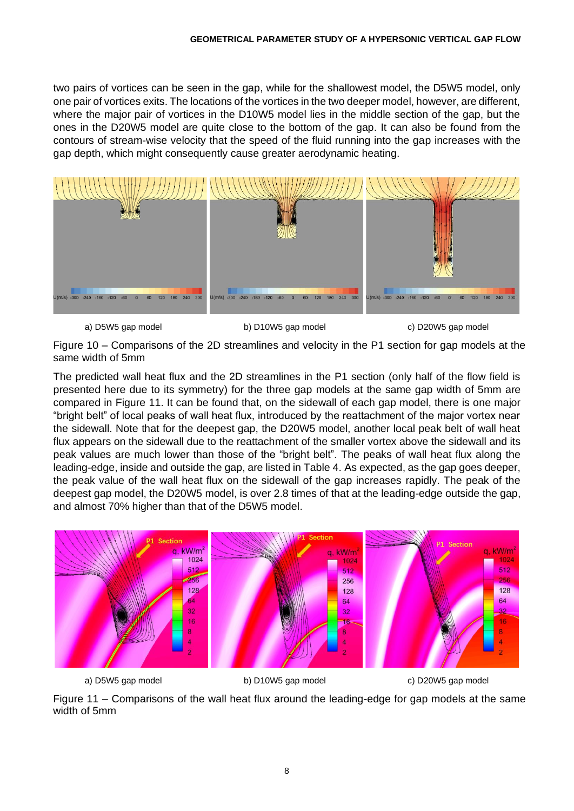two pairs of vortices can be seen in the gap, while for the shallowest model, the D5W5 model, only one pair of vortices exits. The locations of the vortices in the two deeper model, however, are different, where the major pair of vortices in the D10W5 model lies in the middle section of the gap, but the ones in the D20W5 model are quite close to the bottom of the gap. It can also be found from the contours of stream-wise velocity that the speed of the fluid running into the gap increases with the gap depth, which might consequently cause greater aerodynamic heating.



a) D5W5 gap model b) D10W5 gap model c) D20W5 gap model

Figure 10 – Comparisons of the 2D streamlines and velocity in the P1 section for gap models at the same width of 5mm

The predicted wall heat flux and the 2D streamlines in the P1 section (only half of the flow field is presented here due to its symmetry) for the three gap models at the same gap width of 5mm are compared in Figure 11. It can be found that, on the sidewall of each gap model, there is one major "bright belt" of local peaks of wall heat flux, introduced by the reattachment of the major vortex near the sidewall. Note that for the deepest gap, the D20W5 model, another local peak belt of wall heat flux appears on the sidewall due to the reattachment of the smaller vortex above the sidewall and its peak values are much lower than those of the "bright belt". The peaks of wall heat flux along the leading-edge, inside and outside the gap, are listed in Table 4. As expected, as the gap goes deeper, the peak value of the wall heat flux on the sidewall of the gap increases rapidly. The peak of the deepest gap model, the D20W5 model, is over 2.8 times of that at the leading-edge outside the gap, and almost 70% higher than that of the D5W5 model.



a) D5W5 gap model b) D10W5 gap model c) D20W5 gap model

Figure 11 – Comparisons of the wall heat flux around the leading-edge for gap models at the same width of 5mm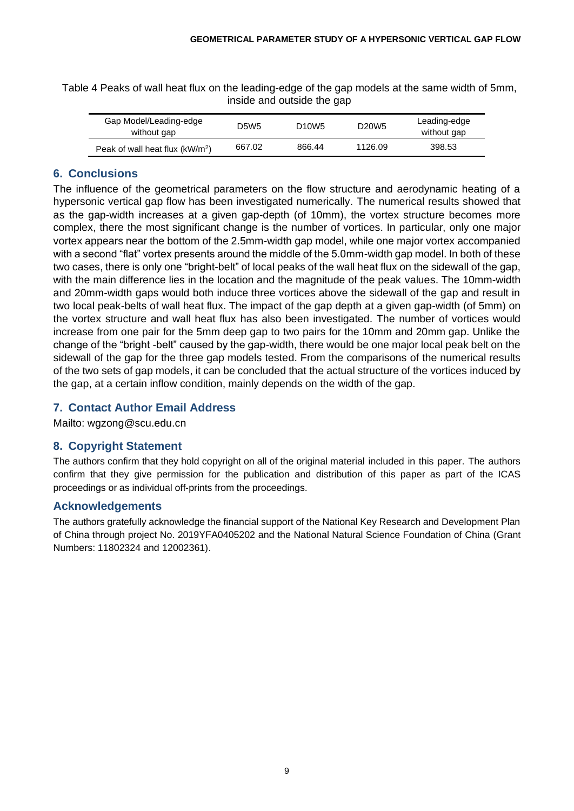Table 4 Peaks of wall heat flux on the leading-edge of the gap models at the same width of 5mm, inside and outside the gap

| Gap Model/Leading-edge<br>without gap       | D5W5   | D <sub>10</sub> W <sub>5</sub> | D <sub>20</sub> W <sub>5</sub> | Leading-edge<br>without gap |
|---------------------------------------------|--------|--------------------------------|--------------------------------|-----------------------------|
| Peak of wall heat flux (kW/m <sup>2</sup> ) | 667.02 | 866.44                         | 1126.09                        | 398.53                      |

### **6. Conclusions**

The influence of the geometrical parameters on the flow structure and aerodynamic heating of a hypersonic vertical gap flow has been investigated numerically. The numerical results showed that as the gap-width increases at a given gap-depth (of 10mm), the vortex structure becomes more complex, there the most significant change is the number of vortices. In particular, only one major vortex appears near the bottom of the 2.5mm-width gap model, while one major vortex accompanied with a second "flat" vortex presents around the middle of the 5.0mm-width gap model. In both of these two cases, there is only one "bright-belt" of local peaks of the wall heat flux on the sidewall of the gap, with the main difference lies in the location and the magnitude of the peak values. The 10mm-width and 20mm-width gaps would both induce three vortices above the sidewall of the gap and result in two local peak-belts of wall heat flux. The impact of the gap depth at a given gap-width (of 5mm) on the vortex structure and wall heat flux has also been investigated. The number of vortices would increase from one pair for the 5mm deep gap to two pairs for the 10mm and 20mm gap. Unlike the change of the "bright -belt" caused by the gap-width, there would be one major local peak belt on the sidewall of the gap for the three gap models tested. From the comparisons of the numerical results of the two sets of gap models, it can be concluded that the actual structure of the vortices induced by the gap, at a certain inflow condition, mainly depends on the width of the gap.

## **7. Contact Author Email Address**

Mailto: wgzong@scu.edu.cn

## **8. Copyright Statement**

The authors confirm that they hold copyright on all of the original material included in this paper. The authors confirm that they give permission for the publication and distribution of this paper as part of the ICAS proceedings or as individual off-prints from the proceedings.

## **Acknowledgements**

The authors gratefully acknowledge the financial support of the National Key Research and Development Plan of China through project No. 2019YFA0405202 and the National Natural Science Foundation of China (Grant Numbers: 11802324 and 12002361).